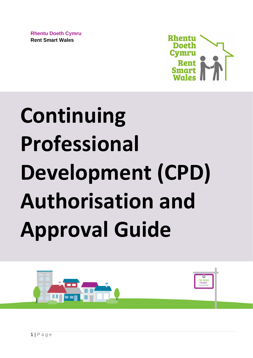**Rhentu Doeth Cymru Rent Smart Wales**



# **Continuing Professional Development (CPD) Authorisation and Approval Guide**

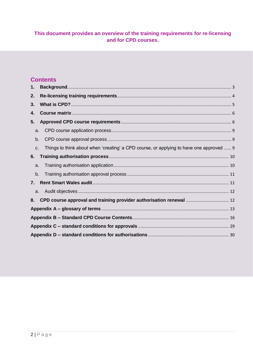## This document provides an overview of the training requirements for re-licensing and for CPD courses.

## **Contents**

| 1. |    |                                                                                         |  |
|----|----|-----------------------------------------------------------------------------------------|--|
| 2. |    |                                                                                         |  |
| 3. |    |                                                                                         |  |
| 4. |    |                                                                                         |  |
| 5. |    |                                                                                         |  |
|    | a. |                                                                                         |  |
| b. |    |                                                                                         |  |
| c. |    | Things to think about when 'creating' a CPD course, or applying to have one approved  9 |  |
| 6. |    |                                                                                         |  |
|    | a. |                                                                                         |  |
|    | b. |                                                                                         |  |
| 7. |    |                                                                                         |  |
|    |    |                                                                                         |  |
|    |    | 8. CPD course approval and training provider authorisation renewal  12                  |  |
|    |    |                                                                                         |  |
|    |    |                                                                                         |  |
|    |    |                                                                                         |  |
|    |    |                                                                                         |  |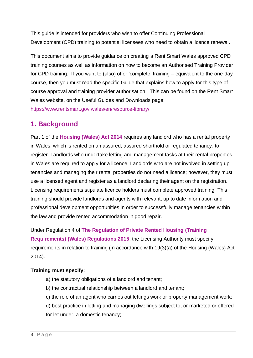This guide is intended for providers who wish to offer Continuing Professional Development (CPD) training to potential licensees who need to obtain a licence renewal.

This document aims to provide guidance on creating a Rent Smart Wales approved CPD training courses as well as information on how to become an Authorised Training Provider for CPD training. If you want to (also) offer 'complete' training – equivalent to the one-day course, then you must read the specific Guide that explains how to apply for this type of course approval and training provider authorisation. This can be found on the Rent Smart Wales website, on the Useful Guides and Downloads page:

<https://www.rentsmart.gov.wales/en/resource-library/>

## <span id="page-2-0"></span>**1. Background**

Part 1 of the **[Housing \(Wales\) Act 2014](https://www.legislation.gov.uk/anaw/2014/7/contents)** requires any landlord who has a rental property in Wales, which is rented on an assured, assured shorthold or regulated tenancy, to register. Landlords who undertake letting and management tasks at their rental properties in Wales are required to apply for a licence. Landlords who are not involved in setting up tenancies and managing their rental properties do not need a licence; however, they must use a licensed agent and register as a landlord declaring their agent on the registration. Licensing requirements stipulate licence holders must complete approved training. This training should provide landlords and agents with relevant, up to date information and professional development opportunities in order to successfully manage tenancies within the law and provide rented accommodation in good repair.

Under Regulation 4 of **[The Regulation of Private Rented Housing \(Training](https://www.legislation.gov.uk/wsi/2015/1366/contents/made)  [Requirements\) \(Wales\) Regulations 2015](https://www.legislation.gov.uk/wsi/2015/1366/contents/made)**, the Licensing Authority must specify requirements in relation to training (in accordance with 19(3)(a) of the Housing (Wales) Act 2014).

## **Training must specify:**

- a) the statutory obligations of a landlord and tenant;
- b) the contractual relationship between a landlord and tenant;
- c) the role of an agent who carries out lettings work or property management work;
- d) best practice in letting and managing dwellings subject to, or marketed or offered for let under, a domestic tenancy;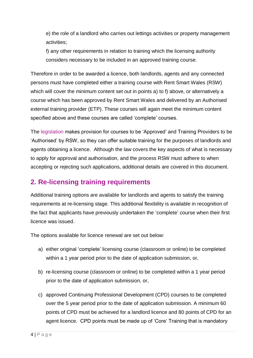e) the role of a landlord who carries out lettings activities or property management activities;

f) any other requirements in relation to training which the licensing authority considers necessary to be included in an approved training course.

Therefore in order to be awarded a licence, both landlords, agents and any connected persons must have completed either a training course with Rent Smart Wales (RSW) which will cover the minimum content set out in points a) to f) above, or alternatively a course which has been approved by Rent Smart Wales and delivered by an Authorised external training provider (ETP). These courses will again meet the minimum content specified above and these courses are called 'complete' courses.

The [legislation](https://www.legislation.gov.uk/wsi/2015/1366/regulation/5/made) makes provision for courses to be 'Approved' and Training Providers to be 'Authorised' by RSW, so they can offer suitable training for the purposes of landlords and agents obtaining a licence. Although the law covers the key aspects of what is necessary to apply for approval and authorisation, and the process RSW must adhere to when accepting or rejecting such applications, additional details are covered in this document.

## <span id="page-3-0"></span>**2. Re-licensing training requirements**

Additional training options are available for landlords and agents to satisfy the training requirements at re-licensing stage. This additional flexibility is available in recognition of the fact that applicants have previously undertaken the 'complete' course when their first licence was issued.

The options available for licence renewal are set out below:

- a) either original 'complete' licensing course (classroom or online) to be completed within a 1 year period prior to the date of application submission, or,
- b) re-licensing course (classroom or online) to be completed within a 1 year period prior to the date of application submission, or,
- c) approved Continuing Professional Development (CPD) courses to be completed over the 5 year period prior to the date of application submission. A minimum 60 points of CPD must be achieved for a landlord licence and 80 points of CPD for an agent licence. CPD points must be made up of 'Core' Training that is mandatory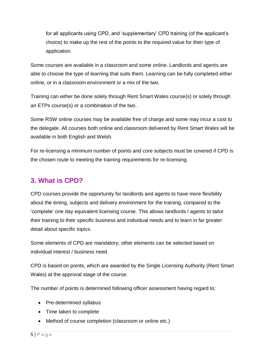for all applicants using CPD, and 'supplementary' CPD training (of the applicant's choice) to make up the rest of the points to the required value for their type of application.

Some courses are available in a classroom and some online. Landlords and agents are able to choose the type of learning that suits them. Learning can be fully completed either online, or in a classroom environment or a mix of the two.

Training can either be done solely through Rent Smart Wales course(s) or solely through an ETPs course(s) or a combination of the two.

Some RSW online courses may be available free of charge and some may incur a cost to the delegate. All courses both online and classroom delivered by Rent Smart Wales will be available in both English and Welsh.

For re-licensing a minimum number of points and core subjects must be covered if CPD is the chosen route to meeting the training requirements for re-licensing.

# <span id="page-4-0"></span>**3. What is CPD?**

CPD courses provide the opportunity for landlords and agents to have more flexibility about the timing, subjects and delivery environment for the training, compared to the 'complete' one day equivalent licensing course. This allows landlords / agents to tailor their training to their specific business and individual needs and to learn in far greater detail about specific topics.

Some elements of CPD are mandatory; other elements can be selected based on individual interest / business need.

CPD is based on points, which are awarded by the Single Licensing Authority (Rent Smart Wales) at the approval stage of the course.

The number of points is determined following officer assessment having regard to:

- Pre-determined syllabus
- Time taken to complete
- Method of course completion (classroom or online etc.)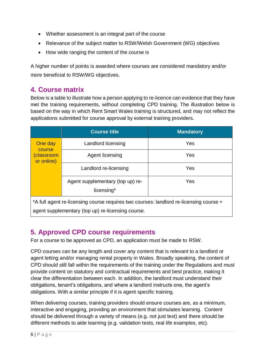- Whether assessment is an integral part of the course
- Relevance of the subject matter to RSW/Welsh Government (WG) objectives
- How wide ranging the content of the course is

A higher number of points is awarded where courses are considered mandatory and/or more beneficial to RSW/WG objectives.

## <span id="page-5-0"></span>**4. Course matrix**

Below is a table to illustrate how a person applying to re-licence can evidence that they have met the training requirements, without completing CPD training. The illustration below is based on the way in which Rent Smart Wales training is structured, and may not reflect the applications submitted for course approval by external training providers.

|                                                                                        | <b>Course title</b>                            | <b>Mandatory</b> |
|----------------------------------------------------------------------------------------|------------------------------------------------|------------------|
| One day<br>course                                                                      | Landlord licensing                             | Yes              |
| classroom)<br>or online)                                                               | Agent licensing                                | Yes              |
|                                                                                        | Landlord re-licensing                          | Yes              |
|                                                                                        | Agent supplementary (top up) re-<br>licensing* | Yes              |
| *A full agent re-licensing course requires two courses: landlord re-licensing course + |                                                |                  |

agent supplementary (top up) re-licensing course.

# <span id="page-5-1"></span>**5. Approved CPD course requirements**

For a course to be approved as CPD, an application must be made to RSW.

CPD courses can be any length and cover any content that is relevant to a landlord or agent letting and/or managing rental property in Wales. Broadly speaking, the content of CPD should still fall within the requirements of the training under the Regulations and must provide content on statutory and contractual requirements and best practice, making it clear the differentiation between each. In addition, the landlord must understand their obligations, tenant's obligations, and where a landlord instructs one, the agent's obligations. With a similar principle if it is agent specific training.

When delivering courses, training providers should ensure courses are, as a minimum, interactive and engaging, providing an environment that stimulates learning. Content should be delivered through a variety of means (e.g. not just text) and there should be different methods to aide learning (e.g. validation tests, real life examples, etc).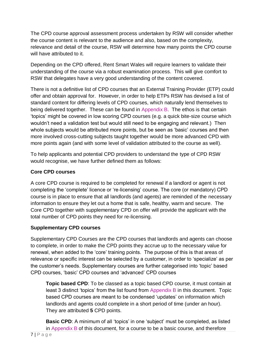The CPD course approval assessment process undertaken by RSW will consider whether the course content is relevant to the audience and also, based on the complexity, relevance and detail of the course, RSW will determine how many points the CPD course will have attributed to it.

Depending on the CPD offered, Rent Smart Wales will require learners to validate their understanding of the course via a robust examination process. This will give comfort to RSW that delegates have a very good understanding of the content covered.

There is not a definitive list of CPD courses that an External Training Provider (ETP) could offer and obtain approval for. However, in order to help ETPs RSW has devised a list of standard content for differing levels of CPD courses, which naturally lend themselves to being delivered together. These can be found in [Appendix B.](#page-15-0) The ethos is that certain 'topics' might be covered in low scoring CPD courses (e.g. a quick bite-size course which wouldn't need a validation test but would still need to be engaging and relevant.) Then whole subjects would be attributed more points, but be seen as 'basic' courses and then more involved cross-cutting subjects taught together would be more advanced CPD with more points again (and with some level of validation attributed to the course as well).

To help applicants and potential CPD providers to understand the type of CPD RSW would recognise, we have further defined them as follows:

## **Core CPD courses**

A core CPD course is required to be completed for renewal if a landlord or agent is not completing the 'complete' licence or 're-licensing' course. The core (or mandatory) CPD course is in place to ensure that all landlords (and agents) are reminded of the necessary information to ensure they let out a home that is safe, healthy, warm and secure. The Core CPD together with supplementary CPD on offer will provide the applicant with the total number of CPD points they need for re-licensing.

## **Supplementary CPD courses**

Supplementary CPD Courses are the CPD courses that landlords and agents can choose to complete, in order to make the CPD points they accrue up to the necessary value for renewal, when added to the 'core' training points. The purpose of this is that areas of relevance or specific interest can be selected by a customer, in order to 'specialize' as per the customer's needs. Supplementary courses are further categorised into 'topic' based CPD courses, 'basic' CPD courses and 'advanced' CPD courses

**Topic based CPD**: To be classed as a topic based CPD course, it must contain at least 3 distinct 'topics' from the list found from [Appendix B](#page-15-0) in this document. Topic based CPD courses are meant to be condensed 'updates' on information which landlords and agents could complete in a short period of time (under an hour). They are attributed **5** CPD points.

**Basic CPD:** A minimum of all 'topics' in one 'subject' must be completed, as listed in [Appendix B](#page-15-0) of this document, for a course to be a basic course, and therefore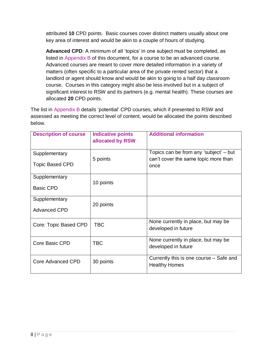attributed **10** CPD points. Basic courses cover distinct matters usually about one key area of interest and would be akin to a couple of hours of studying.

**Advanced CPD**: A minimum of all 'topics' in one subject must be completed, as listed in [Appendix B](#page-15-0) of this document, for a course to be an advanced course. Advanced courses are meant to cover more detailed information in a variety of matters (often specific to a particular area of the private rented sector) that a landlord or agent should know and would be akin to going to a half day classroom course. Courses in this category might also be less involved but in a subject of significant interest to RSW and its partners (e.g. mental health). These courses are allocated **20** CPD points.

The list in Appendix B details 'potential' CPD courses, which if presented to RSW and assessed as meeting the correct level of content, would be allocated the points described below.

| <b>Description of course</b> | <b>Indicative points</b><br>allocated by RSW | <b>Additional information</b>                                                  |
|------------------------------|----------------------------------------------|--------------------------------------------------------------------------------|
| Supplementary                | 5 points                                     | Topics can be from any 'subject' – but<br>can't cover the same topic more than |
| <b>Topic Based CPD</b>       |                                              | once                                                                           |
| Supplementary                | 10 points                                    |                                                                                |
| <b>Basic CPD</b>             |                                              |                                                                                |
| Supplementary                | 20 points                                    |                                                                                |
| <b>Advanced CPD</b>          |                                              |                                                                                |
| Core: Topic Based CPD        | <b>TBC</b>                                   | None currently in place, but may be<br>developed in future                     |
|                              |                                              |                                                                                |
| Core Basic CPD               | <b>TBC</b>                                   | None currently in place, but may be<br>developed in future                     |
| Core Advanced CPD            | 30 points                                    | Currently this is one course – Safe and<br><b>Healthy Homes</b>                |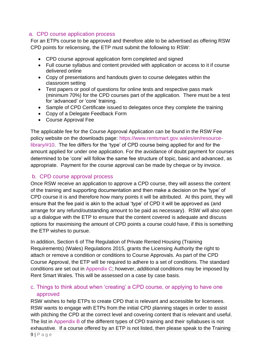## <span id="page-8-0"></span>a. CPD course application process

For an ETPs course to be approved and therefore able to be advertised as offering RSW CPD points for relicensing, the ETP must submit the following to RSW:

- CPD course approval application form completed and signed
- Full course syllabus and content provided with application or access to it if course delivered online
- Copy of presentations and handouts given to course delegates within the classroom setting
- Test papers or pool of questions for online tests and respective pass mark (minimum 70%) for the CPD courses part of the application. There must be a test for 'advanced' or 'core' training.
- Sample of CPD Certificate issued to delegates once they complete the training
- Copy of a Delegate Feedback Form
- Course Approval Fee

The applicable fee for the Course Approval Application can be found in the RSW Fee policy website on the downloads page: [https://www.rentsmart.gov.wales/en/resource](https://www.rentsmart.gov.wales/en/resource-library/#10)[library/#10.](https://www.rentsmart.gov.wales/en/resource-library/#10) The fee differs for the 'type' of CPD course being applied for and for the amount applied for under one application. For the avoidance of doubt payment for courses determined to be 'core' will follow the same fee structure of topic, basic and advanced, as appropriate. Payment for the course approval can be made by cheque or by invoice.

#### <span id="page-8-1"></span>b. CPD course approval process

Once RSW receive an application to approve a CPD course, they will assess the content of the training and supporting documentation and then make a decision on the 'type' of CPD course it is and therefore how many points it will be attributed. At this point, they will ensure that the fee paid is akin to the actual 'type' of CPD it will be approved as (and arrange for any refund/outstanding amount to be paid as necessary). RSW will also open up a dialogue with the ETP to ensure that the content covered is adequate and discuss options for maximising the amount of CPD points a course could have, if this is something the ETP wishes to pursue.

In addition, Section 6 of The Regulation of Private Rented Housing (Training Requirements) (Wales) Regulations 2015, grants the Licensing Authority the right to attach or remove a condition or conditions to Course Approvals. As part of the CPD Course Approval, the ETP will be required to adhere to a set of conditions. The standard conditions are set out in [Appendix C;](#page-28-0) however, additional conditions may be imposed by Rent Smart Wales. This will be assessed on a case by case basis.

## <span id="page-8-2"></span>c. Things to think about when 'creating' a CPD course, or applying to have one approved

RSW wishes to help ETPs to create CPD that is relevant and accessible for licensees. RSW wants to engage with ETPs from the initial CPD planning stages in order to assist with pitching the CPD at the correct level and covering content that is relevant and useful. The list in Appendix B of the different types of CPD training and their syllabuses is not exhaustive. If a course offered by an ETP is not listed, then please speak to the Training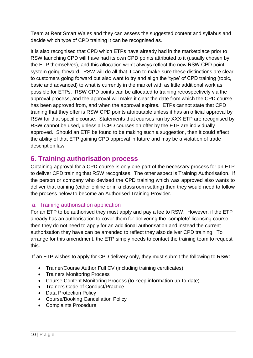Team at Rent Smart Wales and they can assess the suggested content and syllabus and decide which type of CPD training it can be recognised as.

It is also recognised that CPD which ETPs have already had in the marketplace prior to RSW launching CPD will have had its own CPD points attributed to it (usually chosen by the ETP themselves), and this allocation won't always reflect the new RSW CPD point system going forward. RSW will do all that it can to make sure these distinctions are clear to customers going forward but also want to try and align the 'type' of CPD training (topic, basic and advanced) to what is currently in the market with as little additional work as possible for ETPs. RSW CPD points can be allocated to training retrospectively via the approval process, and the approval will make it clear the date from which the CPD course has been approved from, and when the approval expires. ETPs cannot state that CPD training that they offer is RSW CPD points attributable unless it has an official approval by RSW for that specific course. Statements that courses run by XXX ETP are recognised by RSW cannot be used, unless all CPD courses on offer by the ETP are individually approved. Should an ETP be found to be making such a suggestion, then it could affect the ability of that ETP gaining CPD approval in future and may be a violation of trade description law.

## <span id="page-9-0"></span>**6. Training authorisation process**

Obtaining approval for a CPD course is only one part of the necessary process for an ETP to deliver CPD training that RSW recognises. The other aspect is Training Authorisation. If the person or company who devised the CPD training which was approved also wants to deliver that training (either online or in a classroom setting) then they would need to follow the process below to become an Authorised Training Provider.

## <span id="page-9-1"></span>a. Training authorisation application

For an ETP to be authorised they must apply and pay a fee to RSW. However, if the ETP already has an authorisation to cover them for delivering the 'complete' licensing course, then they do not need to apply for an additional authorisation and instead the current authorisation they have can be amended to reflect they also deliver CPD training. To arrange for this amendment, the ETP simply needs to contact the training team to request this.

If an ETP wishes to apply for CPD delivery only, they must submit the following to RSW:

- Trainer/Course Author Full CV (including training certificates)
- Trainers Monitoring Process
- Course Content Monitoring Process (to keep information up-to-date)
- Trainers Code of Conduct/Practice
- Data Protection Policy
- Course/Booking Cancellation Policy
- Complaints Procedure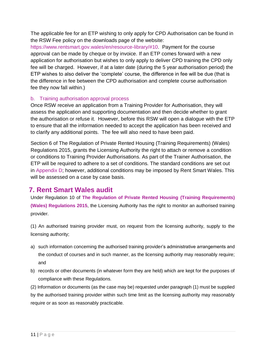The applicable fee for an ETP wishing to only apply for CPD Authorisation can be found in the RSW Fee policy on the downloads page of the website:

[https://www.rentsmart.gov.wales/en/resource-library/#10.](https://www.rentsmart.gov.wales/en/resource-library/#10) Payment for the course approval can be made by cheque or by invoice. If an ETP comes forward with a new application for authorisation but wishes to only apply to deliver CPD training the CPD only fee will be charged. However, if at a later date (during the 5 year authorisation period) the ETP wishes to also deliver the 'complete' course, the difference in fee will be due (that is the difference in fee between the CPD authorisation and complete course authorisation fee they now fall within.)

#### <span id="page-10-0"></span>b. Training authorisation approval process

Once RSW receive an application from a Training Provider for Authorisation, they will assess the application and supporting documentation and then decide whether to grant the authorisation or refuse it. However, before this RSW will open a dialogue with the ETP to ensure that all the information needed to accept the application has been received and to clarify any additional points. The fee will also need to have been paid.

Section 6 of The Regulation of Private Rented Housing (Training Requirements) (Wales) Regulations 2015, grants the Licensing Authority the right to attach or remove a condition or conditions to Training Provider Authorisations. As part of the Trainer Authorisation, the ETP will be required to adhere to a set of conditions. The standard conditions are set out in [Appendix D;](#page-29-0) however, additional conditions may be imposed by Rent Smart Wales. This will be assessed on a case by case basis.

## <span id="page-10-1"></span>**7. Rent Smart Wales audit**

Under Regulation 10 of **[The Regulation of Private Rented Housing](http://www.legislation.gov.uk/wsi/2015/1366/contents/made) (Training Requirements) [\(Wales\) Regulations 2015](http://www.legislation.gov.uk/wsi/2015/1366/contents/made)**, the Licensing Authority has the right to monitor an authorised training provider.

(1) An authorised training provider must, on request from the licensing authority, supply to the licensing authority;

- a) such information concerning the authorised training provider's administrative arrangements and the conduct of courses and in such manner, as the licensing authority may reasonably require; and
- b) records or other documents (in whatever form they are held) which are kept for the purposes of compliance with these Regulations.
- (2) Information or documents (as the case may be) requested under paragraph (1) must be supplied

by the authorised training provider within such time limit as the licensing authority may reasonably require or as soon as reasonably practicable.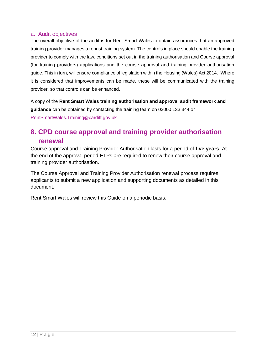## <span id="page-11-0"></span>a. Audit objectives

The overall objective of the audit is for Rent Smart Wales to obtain assurances that an approved training provider manages a robust training system. The controls in place should enable the training provider to comply with the law, conditions set out in the training authorisation and Course approval (for training providers) applications and the course approval and training provider authorisation guide. This in turn, will ensure compliance of legislation within the Housing (Wales) Act 2014. Where it is considered that improvements can be made, these will be communicated with the training provider, so that controls can be enhanced.

A copy of the **Rent Smart Wales training authorisation and approval audit framework and guidance** can be obtained by contacting the training team on 03000 133 344 or [RentSmartWales.Training@cardiff.gov.uk](mailto:RentSmartWales.Training@cardiff.gov.uk)

# <span id="page-11-1"></span>**8. CPD course approval and training provider authorisation renewal**

Course approval and Training Provider Authorisation lasts for a period of **five years**. At the end of the approval period ETPs are required to renew their course approval and training provider authorisation.

The Course Approval and Training Provider Authorisation renewal process requires applicants to submit a new application and supporting documents as detailed in this document.

Rent Smart Wales will review this Guide on a periodic basis.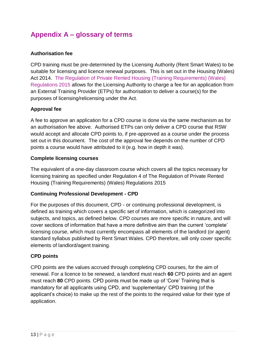# <span id="page-12-0"></span>**Appendix A – glossary of terms**

## **Authorisation fee**

CPD training must be pre-determined by the Licensing Authority (Rent Smart Wales) to be suitable for licensing and licence renewal purposes. This is set out in the Housing (Wales) Act 2014. [The Regulation of Private Rented Housing \(Training Requirements\) \(Wales\)](http://www.legislation.gov.uk/wsi/2015/1366/regulation/9/made)  [Regulations 2015](http://www.legislation.gov.uk/wsi/2015/1366/regulation/9/made) allows for the Licensing Authority to charge a fee for an application from an External Training Provider (ETPs) for authorisation to deliver a course(s) for the purposes of licensing/relicensing under the Act.

## **Approval fee**

A fee to approve an application for a CPD course is done via the same mechanism as for an authorisation fee above. Authorised ETPs can only deliver a CPD course that RSW would accept and allocate CPD points to, if pre-approved as a course under the process set out in this document. The cost of the approval fee depends on the number of CPD points a course would have attributed to it (e.g. how in depth it was).

#### **Complete licensing courses**

The equivalent of a one-day classroom course which covers all the topics necessary for licensing training as specified under Regulation 4 of The Regulation of Private Rented Housing (Training Requirements) (Wales) Regulations 2015

#### **Continuing Professional Development - CPD**

For the purposes of this document, CPD - or continuing professional development, is defined as training which covers a specific set of information, which is categorized into subjects, and topics, as defined below. CPD courses are more specific in nature, and will cover sections of information that have a more definitive aim than the current 'complete' licensing course, which must currently encompass all elements of the landlord (or agent) standard syllabus published by Rent Smart Wales. CPD therefore, will only cover specific elements of landlord/agent training.

#### **CPD points**

CPD points are the values accrued through completing CPD courses, for the aim of renewal. For a licence to be renewed, a landlord must reach **60** CPD points and an agent must reach **80** CPD points. CPD points must be made up of 'Core' Training that is mandatory for all applicants using CPD, and 'supplementary' CPD training (of the applicant's choice) to make up the rest of the points to the required value for their type of application.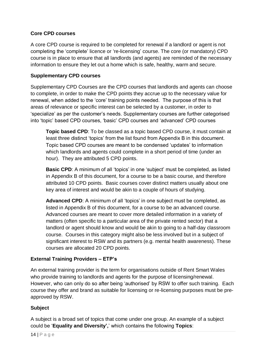## **Core CPD courses**

A core CPD course is required to be completed for renewal if a landlord or agent is not completing the 'complete' licence or 're-licensing' course. The core (or mandatory) CPD course is in place to ensure that all landlords (and agents) are reminded of the necessary information to ensure they let out a home which is safe, healthy, warm and secure.

## **Supplementary CPD courses**

Supplementary CPD Courses are the CPD courses that landlords and agents can choose to complete, in order to make the CPD points they accrue up to the necessary value for renewal, when added to the 'core' training points needed. The purpose of this is that areas of relevance or specific interest can be selected by a customer, in order to 'specialize' as per the customer's needs. Supplementary courses are further categorised into 'topic' based CPD courses, 'basic' CPD courses and 'advanced' CPD courses

**Topic based CPD**: To be classed as a topic based CPD course, it must contain at least three distinct 'topics' from the list found from Appendix B in this document. Topic based CPD courses are meant to be condensed 'updates' to information which landlords and agents could complete in a short period of time (under an hour). They are attributed 5 CPD points.

**Basic CPD:** A minimum of all 'topics' in one 'subject' must be completed, as listed in Appendix B of this document, for a course to be a basic course, and therefore attributed 10 CPD points. Basic courses cover distinct matters usually about one key area of interest and would be akin to a couple of hours of studying.

**Advanced CPD**: A minimum of all 'topics' in one subject must be completed, as listed in Appendix B of this document, for a course to be an advanced course. Advanced courses are meant to cover more detailed information in a variety of matters (often specific to a particular area of the private rented sector) that a landlord or agent should know and would be akin to going to a half-day classroom course. Courses in this category might also be less involved but in a subject of significant interest to RSW and its partners (e.g. mental health awareness). These courses are allocated 20 CPD points.

## **External Training Providers – ETP's**

An external training provider is the term for organisations outside of Rent Smart Wales who provide training to landlords and agents for the purpose of licensing/renewal. However, who can only do so after being 'authorised' by RSW to offer such training. Each course they offer and brand as suitable for licensing or re-licensing purposes must be preapproved by RSW.

## **Subject**

A subject is a broad set of topics that come under one group. An example of a subject could be '**Equality and Diversity',**' which contains the following **Topics**: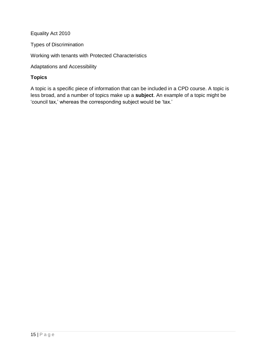Equality Act 2010

Types of Discrimination

Working with tenants with Protected Characteristics

Adaptations and Accessibility

## **Topics**

A topic is a specific piece of information that can be included in a CPD course. A topic is less broad, and a number of topics make up a **subject**. An example of a topic might be 'council tax,' whereas the corresponding subject would be 'tax.'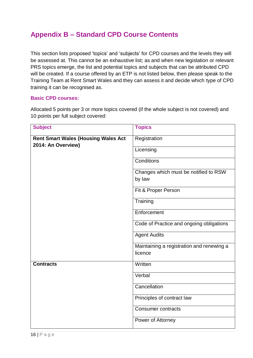# <span id="page-15-0"></span>**Appendix B – Standard CPD Course Contents**

This section lists proposed 'topics' and 'subjects' for CPD courses and the levels they will be assessed at. This cannot be an exhaustive list; as and when new legislation or relevant PRS topics emerge, the list and potential topics and subjects that can be attributed CPD will be created. If a course offered by an ETP is not listed below, then please speak to the Training Team at Rent Smart Wales and they can assess it and decide which type of CPD training it can be recognised as.

#### **Basic CPD courses:**

Allocated 5 points per 3 or more topics covered (if the whole subject is not covered) and 10 points per full subject covered:

| <b>Subject</b>                                                   | <b>Topics</b>                                        |
|------------------------------------------------------------------|------------------------------------------------------|
| <b>Rent Smart Wales (Housing Wales Act</b><br>2014: An Overview) | Registration                                         |
|                                                                  | Licensing                                            |
|                                                                  | Conditions                                           |
|                                                                  | Changes which must be notified to RSW<br>by law      |
|                                                                  | Fit & Proper Person                                  |
|                                                                  | Training                                             |
|                                                                  | Enforcement                                          |
|                                                                  | Code of Practice and ongoing obligations             |
|                                                                  | <b>Agent Audits</b>                                  |
|                                                                  | Maintaining a registration and renewing a<br>licence |
| <b>Contracts</b>                                                 | Written                                              |
|                                                                  | Verbal                                               |
|                                                                  | Cancellation                                         |
|                                                                  | Principles of contract law                           |
|                                                                  | <b>Consumer contracts</b>                            |
|                                                                  | Power of Attorney                                    |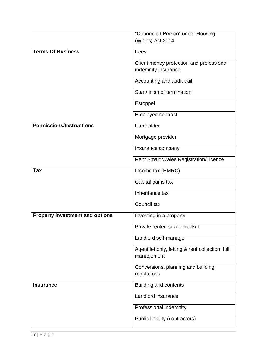|                                        | "Connected Person" under Housing                              |
|----------------------------------------|---------------------------------------------------------------|
|                                        | (Wales) Act 2014                                              |
| <b>Terms Of Business</b>               | Fees                                                          |
|                                        | Client money protection and professional                      |
|                                        | indemnity insurance                                           |
|                                        | Accounting and audit trail                                    |
|                                        | Start/finish of termination                                   |
|                                        | Estoppel                                                      |
|                                        | Employee contract                                             |
| <b>Permissions/Instructions</b>        | Freeholder                                                    |
|                                        | Mortgage provider                                             |
|                                        | Insurance company                                             |
|                                        | <b>Rent Smart Wales Registration/Licence</b>                  |
| Tax                                    | Income tax (HMRC)                                             |
|                                        | Capital gains tax                                             |
|                                        | Inheritance tax                                               |
|                                        | Council tax                                                   |
| <b>Property investment and options</b> | Investing in a property                                       |
|                                        | Private rented sector market                                  |
|                                        | Landlord self-manage                                          |
|                                        | Agent let only, letting & rent collection, full<br>management |
|                                        | Conversions, planning and building                            |
|                                        | regulations                                                   |
| <b>Insurance</b>                       | <b>Building and contents</b>                                  |
|                                        | Landlord insurance                                            |
|                                        | Professional indemnity                                        |
|                                        | Public liability (contractors)                                |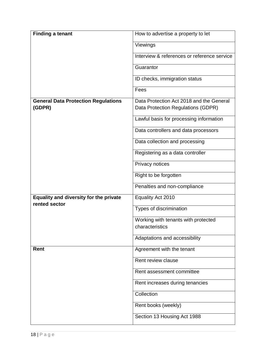| <b>Finding a tenant</b>                                 | How to advertise a property to let                     |
|---------------------------------------------------------|--------------------------------------------------------|
|                                                         | Viewings                                               |
|                                                         | Interview & references or reference service            |
|                                                         | Guarantor                                              |
|                                                         | ID checks, immigration status                          |
|                                                         | Fees                                                   |
| <b>General Data Protection Regulations</b>              | Data Protection Act 2018 and the General               |
| (GDPR)                                                  | Data Protection Regulations (GDPR)                     |
|                                                         | Lawful basis for processing information                |
|                                                         | Data controllers and data processors                   |
|                                                         | Data collection and processing                         |
|                                                         | Registering as a data controller                       |
|                                                         | Privacy notices                                        |
|                                                         | Right to be forgotten                                  |
|                                                         | Penalties and non-compliance                           |
| Equality and diversity for the private<br>rented sector | Equality Act 2010                                      |
|                                                         | Types of discrimination                                |
|                                                         | Working with tenants with protected<br>characteristics |
|                                                         |                                                        |
|                                                         | Adaptations and accessibility                          |
| Rent                                                    | Agreement with the tenant                              |
|                                                         | Rent review clause                                     |
|                                                         | Rent assessment committee                              |
|                                                         | Rent increases during tenancies                        |
|                                                         | Collection                                             |
|                                                         | Rent books (weekly)                                    |
|                                                         | Section 13 Housing Act 1988                            |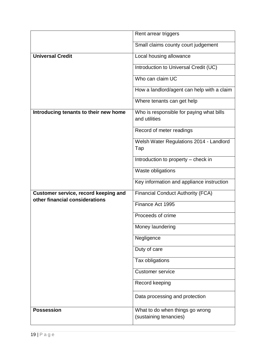|                                                                        | Rent arrear triggers                                      |
|------------------------------------------------------------------------|-----------------------------------------------------------|
|                                                                        | Small claims county court judgement                       |
| <b>Universal Credit</b>                                                | Local housing allowance                                   |
|                                                                        | Introduction to Universal Credit (UC)                     |
|                                                                        | Who can claim UC                                          |
|                                                                        | How a landlord/agent can help with a claim                |
|                                                                        | Where tenants can get help                                |
| Introducing tenants to their new home                                  | Who is responsible for paying what bills<br>and utilities |
|                                                                        | Record of meter readings                                  |
|                                                                        | Welsh Water Regulations 2014 - Landlord<br>Tap            |
|                                                                        | Introduction to property - check in                       |
|                                                                        | Waste obligations                                         |
|                                                                        | Key information and appliance instruction                 |
| Customer service, record keeping and<br>other financial considerations | <b>Financial Conduct Authority (FCA)</b>                  |
|                                                                        | Finance Act 1995                                          |
|                                                                        | Proceeds of crime                                         |
|                                                                        | Money laundering                                          |
|                                                                        | Negligence                                                |
|                                                                        | Duty of care                                              |
|                                                                        | Tax obligations                                           |
|                                                                        | <b>Customer service</b>                                   |
|                                                                        | Record keeping                                            |
|                                                                        | Data processing and protection                            |
| <b>Possession</b>                                                      | What to do when things go wrong<br>(sustaining tenancies) |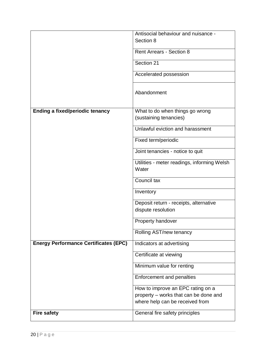|                                              | Antisocial behaviour and nuisance -         |
|----------------------------------------------|---------------------------------------------|
|                                              | Section 8                                   |
|                                              |                                             |
|                                              | <b>Rent Arrears - Section 8</b>             |
|                                              | Section 21                                  |
|                                              | Accelerated possession                      |
|                                              | Abandonment                                 |
| <b>Ending a fixed/periodic tenancy</b>       | What to do when things go wrong             |
|                                              | (sustaining tenancies)                      |
|                                              |                                             |
|                                              | Unlawful eviction and harassment            |
|                                              | Fixed term/periodic                         |
|                                              | Joint tenancies - notice to quit            |
|                                              | Utilities - meter readings, informing Welsh |
|                                              | Water                                       |
|                                              | Council tax                                 |
|                                              | Inventory                                   |
|                                              | Deposit return - receipts, alternative      |
|                                              | dispute resolution                          |
|                                              | <b>Property handover</b>                    |
|                                              | Rolling AST/new tenancy                     |
| <b>Energy Performance Certificates (EPC)</b> | Indicators at advertising                   |
|                                              | Certificate at viewing                      |
|                                              | Minimum value for renting                   |
|                                              | Enforcement and penalties                   |
|                                              | How to improve an EPC rating on a           |
|                                              | property - works that can be done and       |
|                                              | where help can be received from             |
| <b>Fire safety</b>                           | General fire safety principles              |
|                                              |                                             |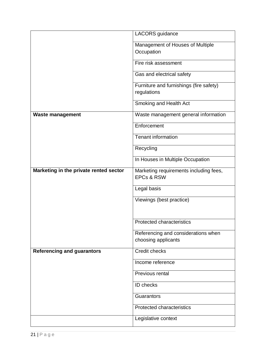|                                        | LACORS guidance                                                 |
|----------------------------------------|-----------------------------------------------------------------|
|                                        | Management of Houses of Multiple                                |
|                                        | Occupation                                                      |
|                                        | Fire risk assessment                                            |
|                                        | Gas and electrical safety                                       |
|                                        | Furniture and furnishings (fire safety)                         |
|                                        | regulations                                                     |
|                                        | Smoking and Health Act                                          |
| <b>Waste management</b>                | Waste management general information                            |
|                                        | Enforcement                                                     |
|                                        | <b>Tenant information</b>                                       |
|                                        | Recycling                                                       |
|                                        | In Houses in Multiple Occupation                                |
| Marketing in the private rented sector | Marketing requirements including fees,<br><b>EPCs &amp; RSW</b> |
|                                        | Legal basis                                                     |
|                                        | Viewings (best practice)                                        |
|                                        |                                                                 |
|                                        | <b>Protected characteristics</b>                                |
|                                        | Referencing and considerations when                             |
|                                        | choosing applicants                                             |
| <b>Referencing and guarantors</b>      | <b>Credit checks</b>                                            |
|                                        | Income reference                                                |
|                                        | Previous rental                                                 |
|                                        | ID checks                                                       |
|                                        | Guarantors                                                      |
|                                        | <b>Protected characteristics</b>                                |
|                                        | Legislative context                                             |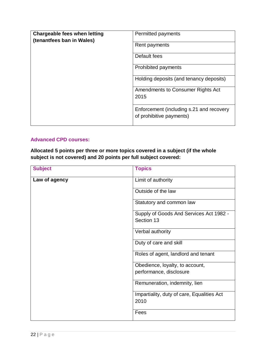| Chargeable fees when letting<br>(tenantfees ban in Wales) | Permitted payments                                                   |
|-----------------------------------------------------------|----------------------------------------------------------------------|
|                                                           | Rent payments                                                        |
|                                                           | Default fees                                                         |
|                                                           | <b>Prohibited payments</b>                                           |
|                                                           | Holding deposits (and tenancy deposits)                              |
|                                                           | Amendments to Consumer Rights Act<br>2015                            |
|                                                           | Enforcement (including s.21 and recovery<br>of prohibitive payments) |

#### **Advanced CPD courses:**

**Allocated 5 points per three or more topics covered in a subject (if the whole subject is not covered) and 20 points per full subject covered:** 

| <b>Subject</b> | <b>Topics</b>                              |
|----------------|--------------------------------------------|
| Law of agency  | Limit of authority                         |
|                | Outside of the law                         |
|                | Statutory and common law                   |
|                | Supply of Goods And Services Act 1982 -    |
|                | Section 13                                 |
|                | Verbal authority                           |
|                | Duty of care and skill                     |
|                | Roles of agent, landlord and tenant        |
|                | Obedience, loyalty, to account,            |
|                | performance, disclosure                    |
|                | Remuneration, indemnity, lien              |
|                | Impartiality, duty of care, Equalities Act |
|                | 2010                                       |
|                | Fees                                       |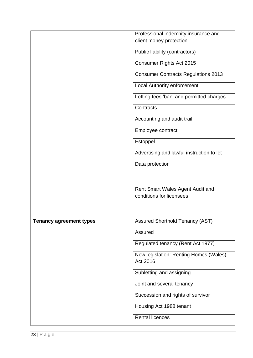|                         | Professional indemnity insurance and                         |
|-------------------------|--------------------------------------------------------------|
|                         | client money protection                                      |
|                         | Public liability (contractors)                               |
|                         | Consumer Rights Act 2015                                     |
|                         | <b>Consumer Contracts Regulations 2013</b>                   |
|                         | <b>Local Authority enforcement</b>                           |
|                         | Letting fees 'ban' and permitted charges                     |
|                         | Contracts                                                    |
|                         | Accounting and audit trail                                   |
|                         | Employee contract                                            |
|                         | Estoppel                                                     |
|                         | Advertising and lawful instruction to let                    |
|                         | Data protection                                              |
|                         | Rent Smart Wales Agent Audit and<br>conditions for licensees |
| Tenancy agreement types | Assured Shorthold Tenancy (AST)                              |
|                         | Assured                                                      |
|                         | Regulated tenancy (Rent Act 1977)                            |
|                         | New legislation: Renting Homes (Wales)<br>Act 2016           |
|                         | Subletting and assigning                                     |
|                         | Joint and several tenancy                                    |
|                         | Succession and rights of survivor                            |
|                         | Housing Act 1988 tenant                                      |
|                         | <b>Rental licences</b>                                       |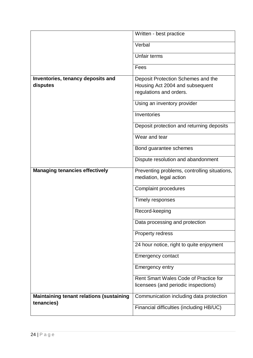|                                                 | Written - best practice                                                                          |
|-------------------------------------------------|--------------------------------------------------------------------------------------------------|
|                                                 | Verbal                                                                                           |
|                                                 | Unfair terms                                                                                     |
|                                                 | Fees                                                                                             |
| Inventories, tenancy deposits and<br>disputes   | Deposit Protection Schemes and the<br>Housing Act 2004 and subsequent<br>regulations and orders. |
|                                                 | Using an inventory provider                                                                      |
|                                                 | Inventories                                                                                      |
|                                                 | Deposit protection and returning deposits                                                        |
|                                                 | Wear and tear                                                                                    |
|                                                 | Bond guarantee schemes                                                                           |
|                                                 | Dispute resolution and abandonment                                                               |
| <b>Managing tenancies effectively</b>           | Preventing problems, controlling situations,<br>mediation, legal action                          |
|                                                 | <b>Complaint procedures</b>                                                                      |
|                                                 | Timely responses                                                                                 |
|                                                 | Record-keeping                                                                                   |
|                                                 | Data processing and protection                                                                   |
|                                                 | Property redress                                                                                 |
|                                                 | 24 hour notice, right to quite enjoyment                                                         |
|                                                 | <b>Emergency contact</b>                                                                         |
|                                                 | <b>Emergency entry</b>                                                                           |
|                                                 | Rent Smart Wales Code of Practice for<br>licensees (and periodic inspections)                    |
| <b>Maintaining tenant relations (sustaining</b> | Communication including data protection                                                          |
| tenancies)                                      | Financial difficulties (including HB/UC)                                                         |
|                                                 |                                                                                                  |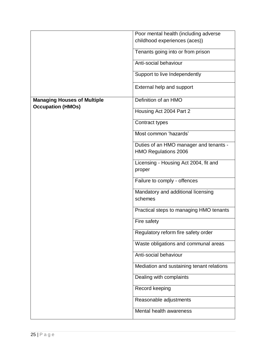|                                                                | Poor mental health (including adverse                                 |
|----------------------------------------------------------------|-----------------------------------------------------------------------|
|                                                                | childhood experiences (aces))                                         |
|                                                                | Tenants going into or from prison                                     |
|                                                                | Anti-social behaviour                                                 |
|                                                                | Support to live Independently                                         |
|                                                                | External help and support                                             |
| <b>Managing Houses of Multiple</b><br><b>Occupation (HMOs)</b> | Definition of an HMO                                                  |
|                                                                | Housing Act 2004 Part 2                                               |
|                                                                | Contract types                                                        |
|                                                                | Most common 'hazards'                                                 |
|                                                                | Duties of an HMO manager and tenants -<br><b>HMO Regulations 2006</b> |
|                                                                | Licensing - Housing Act 2004, fit and<br>proper                       |
|                                                                | Failure to comply - offences                                          |
|                                                                | Mandatory and additional licensing<br>schemes                         |
|                                                                | Practical steps to managing HMO tenants                               |
|                                                                | Fire safety                                                           |
|                                                                | Regulatory reform fire safety order                                   |
|                                                                | Waste obligations and communal areas                                  |
|                                                                | Anti-social behaviour                                                 |
|                                                                | Mediation and sustaining tenant relations                             |
|                                                                | Dealing with complaints                                               |
|                                                                | Record keeping                                                        |
|                                                                | Reasonable adjustments                                                |
|                                                                | Mental health awareness                                               |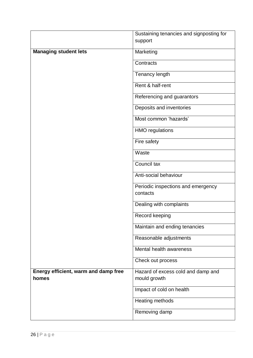|                                      | Sustaining tenancies and signposting for |
|--------------------------------------|------------------------------------------|
|                                      | support                                  |
| <b>Managing student lets</b>         | Marketing                                |
|                                      | Contracts                                |
|                                      | Tenancy length                           |
|                                      | Rent & half-rent                         |
|                                      | Referencing and guarantors               |
|                                      | Deposits and inventories                 |
|                                      | Most common 'hazards'                    |
|                                      | <b>HMO</b> regulations                   |
|                                      | Fire safety                              |
|                                      | Waste                                    |
|                                      | Council tax                              |
|                                      | Anti-social behaviour                    |
|                                      | Periodic inspections and emergency       |
|                                      | contacts                                 |
|                                      | Dealing with complaints                  |
|                                      | Record keeping                           |
|                                      | Maintain and ending tenancies            |
|                                      | Reasonable adjustments                   |
|                                      | Mental health awareness                  |
|                                      | Check out process                        |
| Energy efficient, warm and damp free | Hazard of excess cold and damp and       |
| homes                                | mould growth                             |
|                                      | Impact of cold on health                 |
|                                      | Heating methods                          |
|                                      | Removing damp                            |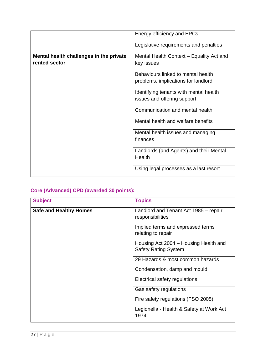|                                         | Energy efficiency and EPCs               |
|-----------------------------------------|------------------------------------------|
|                                         | Legislative requirements and penalties   |
| Mental health challenges in the private | Mental Health Context - Equality Act and |
| rented sector                           | key issues                               |
|                                         | Behaviours linked to mental health       |
|                                         | problems, implications for landlord      |
|                                         | Identifying tenants with mental health   |
|                                         | issues and offering support              |
|                                         | Communication and mental health          |
|                                         | Mental health and welfare benefits       |
|                                         | Mental health issues and managing        |
|                                         | finances                                 |
|                                         | Landlords (and Agents) and their Mental  |
|                                         | Health                                   |
|                                         | Using legal processes as a last resort   |

## **Core (Advanced) CPD (awarded 30 points):**

| <b>Subject</b>                | <b>Topics</b>                                                        |
|-------------------------------|----------------------------------------------------------------------|
| <b>Safe and Healthy Homes</b> | Landlord and Tenant Act 1985 – repair<br>responsibilities            |
|                               | Implied terms and expressed terms<br>relating to repair              |
|                               | Housing Act 2004 – Housing Health and<br><b>Safety Rating System</b> |
|                               | 29 Hazards & most common hazards                                     |
|                               | Condensation, damp and mould                                         |
|                               | Electrical safety regulations                                        |
|                               | Gas safety regulations                                               |
|                               | Fire safety regulations (FSO 2005)                                   |
|                               | Legionella - Health & Safety at Work Act<br>1974                     |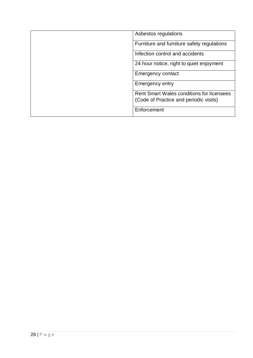|  | Asbestos regulations                                                                       |
|--|--------------------------------------------------------------------------------------------|
|  | Furniture and furniture safety regulations                                                 |
|  | Infection control and accidents                                                            |
|  | 24 hour notice, right to quiet enjoyment                                                   |
|  | <b>Emergency contact</b>                                                                   |
|  | <b>Emergency entry</b>                                                                     |
|  | <b>Rent Smart Wales conditions for licensees</b><br>(Code of Practice and periodic visits) |
|  | Enforcement                                                                                |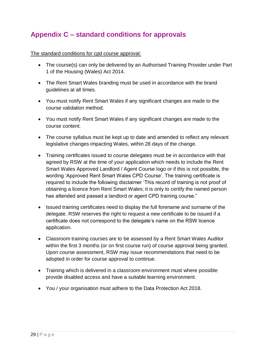# <span id="page-28-0"></span>**Appendix C – standard conditions for approvals**

The standard conditions for cpd course approval:

- The course(s) can only be delivered by an Authorised Training Provider under Part 1 of the Housing (Wales) Act 2014.
- The Rent Smart Wales branding must be used in accordance with the brand guidelines at all times.
- You must notify Rent Smart Wales if any significant changes are made to the course validation method.
- You must notify Rent Smart Wales if any significant changes are made to the course content.
- The course syllabus must be kept up to date and amended to reflect any relevant legislative changes impacting Wales, within 28 days of the change.
- Training certificates issued to course delegates must be in accordance with that agreed by RSW at the time of your application which needs to include the Rent Smart Wales Approved Landlord / Agent Course logo or if this is not possible, the wording 'Approved Rent Smart Wales CPD Course'. The training certificate is required to include the following disclaimer 'This record of training is not proof of obtaining a licence from Rent Smart Wales; it is only to certify the named person has attended and passed a landlord or agent CPD training course."
- Issued training certificates need to display the full forename and surname of the delegate. RSW reserves the right to request a new certificate to be issued if a certificate does not correspond to the delegate's name on the RSW licence application.
- Classroom training courses are to be assessed by a Rent Smart Wales Auditor within the first 3 months (or on first course run) of course approval being granted. Upon course assessment, RSW may issue recommendations that need to be adopted in order for course approval to continue.
- Training which is delivered in a classroom environment must where possible provide disabled access and have a suitable learning environment.
- You / your organisation must adhere to the Data Protection Act 2018.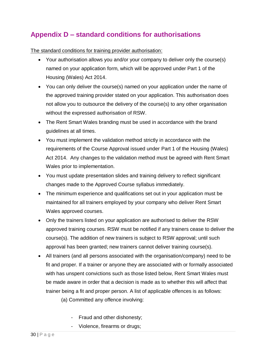# <span id="page-29-0"></span>**Appendix D – standard conditions for authorisations**

The standard conditions for training provider authorisation:

- Your authorisation allows you and/or your company to deliver only the course(s) named on your application form, which will be approved under Part 1 of the Housing (Wales) Act 2014.
- You can only deliver the course(s) named on your application under the name of the approved training provider stated on your application. This authorisation does not allow you to outsource the delivery of the course(s) to any other organisation without the expressed authorisation of RSW.
- The Rent Smart Wales branding must be used in accordance with the brand guidelines at all times.
- You must implement the validation method strictly in accordance with the requirements of the Course Approval issued under Part 1 of the Housing (Wales) Act 2014. Any changes to the validation method must be agreed with Rent Smart Wales prior to implementation.
- You must update presentation slides and training delivery to reflect significant changes made to the Approved Course syllabus immediately.
- The minimum experience and qualifications set out in your application must be maintained for all trainers employed by your company who deliver Rent Smart Wales approved courses.
- Only the trainers listed on your application are authorised to deliver the RSW approved training courses. RSW must be notified if any trainers cease to deliver the course(s). The addition of new trainers is subject to RSW approval; until such approval has been granted; new trainers cannot deliver training course(s).
- All trainers (and all persons associated with the organisation/company) need to be fit and proper. If a trainer or anyone they are associated with or formally associated with has unspent convictions such as those listed below, Rent Smart Wales must be made aware in order that a decision is made as to whether this will affect that trainer being a fit and proper person. A list of applicable offences is as follows:

(a) Committed any offence involving:

- Fraud and other dishonesty;
- Violence, firearms or drugs;